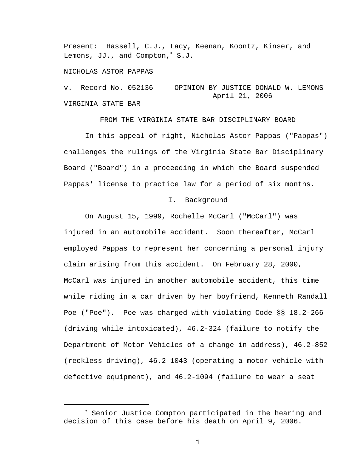Present: Hassell, C.J., Lacy, Keenan, Koontz, Kinser, and Lemons, JJ., and Compton,<sup>∗</sup> S.J.

### NICHOLAS ASTOR PAPPAS

i

v. Record No. 052136 OPINION BY JUSTICE DONALD W. LEMONS April 21, 2006 VIRGINIA STATE BAR

FROM THE VIRGINIA STATE BAR DISCIPLINARY BOARD

 In this appeal of right, Nicholas Astor Pappas ("Pappas") challenges the rulings of the Virginia State Bar Disciplinary Board ("Board") in a proceeding in which the Board suspended Pappas' license to practice law for a period of six months.

### I. Background

 On August 15, 1999, Rochelle McCarl ("McCarl") was injured in an automobile accident. Soon thereafter, McCarl employed Pappas to represent her concerning a personal injury claim arising from this accident. On February 28, 2000, McCarl was injured in another automobile accident, this time while riding in a car driven by her boyfriend, Kenneth Randall Poe ("Poe"). Poe was charged with violating Code §§ 18.2-266 (driving while intoxicated), 46.2-324 (failure to notify the Department of Motor Vehicles of a change in address), 46.2-852 (reckless driving), 46.2-1043 (operating a motor vehicle with defective equipment), and 46.2-1094 (failure to wear a seat

<sup>∗</sup> Senior Justice Compton participated in the hearing and decision of this case before his death on April 9, 2006.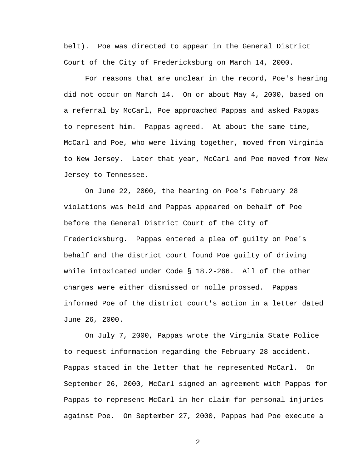belt). Poe was directed to appear in the General District Court of the City of Fredericksburg on March 14, 2000.

 For reasons that are unclear in the record, Poe's hearing did not occur on March 14. On or about May 4, 2000, based on a referral by McCarl, Poe approached Pappas and asked Pappas to represent him. Pappas agreed. At about the same time, McCarl and Poe, who were living together, moved from Virginia to New Jersey. Later that year, McCarl and Poe moved from New Jersey to Tennessee.

 On June 22, 2000, the hearing on Poe's February 28 violations was held and Pappas appeared on behalf of Poe before the General District Court of the City of Fredericksburg. Pappas entered a plea of guilty on Poe's behalf and the district court found Poe guilty of driving while intoxicated under Code § 18.2-266. All of the other charges were either dismissed or nolle prossed. Pappas informed Poe of the district court's action in a letter dated June 26, 2000.

 On July 7, 2000, Pappas wrote the Virginia State Police to request information regarding the February 28 accident. Pappas stated in the letter that he represented McCarl. On September 26, 2000, McCarl signed an agreement with Pappas for Pappas to represent McCarl in her claim for personal injuries against Poe. On September 27, 2000, Pappas had Poe execute a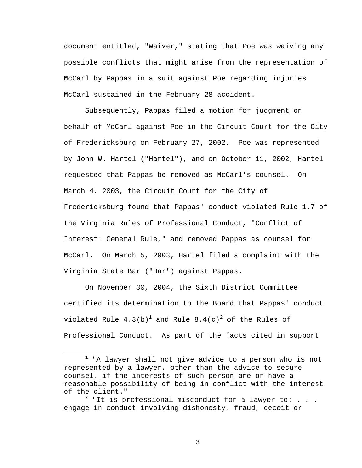document entitled, "Waiver," stating that Poe was waiving any possible conflicts that might arise from the representation of McCarl by Pappas in a suit against Poe regarding injuries McCarl sustained in the February 28 accident.

Subsequently, Pappas filed a motion for judgment on behalf of McCarl against Poe in the Circuit Court for the City of Fredericksburg on February 27, 2002. Poe was represented by John W. Hartel ("Hartel"), and on October 11, 2002, Hartel requested that Pappas be removed as McCarl's counsel. On March 4, 2003, the Circuit Court for the City of Fredericksburg found that Pappas' conduct violated Rule 1.7 of the Virginia Rules of Professional Conduct, "Conflict of Interest: General Rule," and removed Pappas as counsel for McCarl. On March 5, 2003, Hartel filed a complaint with the Virginia State Bar ("Bar") against Pappas.

On November 30, 2004, the Sixth District Committee certified its determination to the Board that Pappas' conduct violated Rule  $4.3 \mathrm{(b)}^\mathrm{1}$  and Rule  $8.4 \mathrm{(c)}^\mathrm{2}$  of the Rules of Professional Conduct. As part of the facts cited in support

 $\overline{\phantom{a}}$  $1$  "A lawyer shall not give advice to a person who is not represented by a lawyer, other than the advice to secure counsel, if the interests of such person are or have a reasonable possibility of being in conflict with the interest of the client."

 $^2$  "It is professional misconduct for a lawyer to: . . . engage in conduct involving dishonesty, fraud, deceit or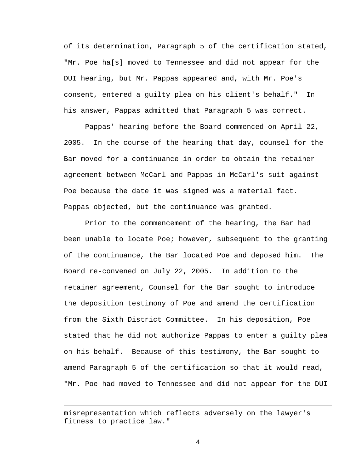of its determination, Paragraph 5 of the certification stated, "Mr. Poe ha[s] moved to Tennessee and did not appear for the DUI hearing, but Mr. Pappas appeared and, with Mr. Poe's consent, entered a guilty plea on his client's behalf." In his answer, Pappas admitted that Paragraph 5 was correct.

Pappas' hearing before the Board commenced on April 22, 2005. In the course of the hearing that day, counsel for the Bar moved for a continuance in order to obtain the retainer agreement between McCarl and Pappas in McCarl's suit against Poe because the date it was signed was a material fact. Pappas objected, but the continuance was granted.

Prior to the commencement of the hearing, the Bar had been unable to locate Poe; however, subsequent to the granting of the continuance, the Bar located Poe and deposed him. The Board re-convened on July 22, 2005. In addition to the retainer agreement, Counsel for the Bar sought to introduce the deposition testimony of Poe and amend the certification from the Sixth District Committee. In his deposition, Poe stated that he did not authorize Pappas to enter a guilty plea on his behalf. Because of this testimony, the Bar sought to amend Paragraph 5 of the certification so that it would read, "Mr. Poe had moved to Tennessee and did not appear for the DUI

i<br>Li

misrepresentation which reflects adversely on the lawyer's fitness to practice law."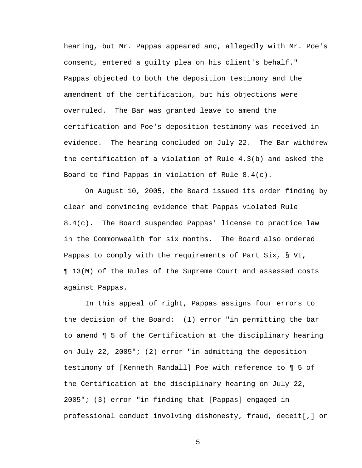hearing, but Mr. Pappas appeared and, allegedly with Mr. Poe's consent, entered a guilty plea on his client's behalf." Pappas objected to both the deposition testimony and the amendment of the certification, but his objections were overruled. The Bar was granted leave to amend the certification and Poe's deposition testimony was received in evidence. The hearing concluded on July 22. The Bar withdrew the certification of a violation of Rule 4.3(b) and asked the Board to find Pappas in violation of Rule 8.4(c).

 On August 10, 2005, the Board issued its order finding by clear and convincing evidence that Pappas violated Rule 8.4(c). The Board suspended Pappas' license to practice law in the Commonwealth for six months. The Board also ordered Pappas to comply with the requirements of Part Six, § VI, ¶ 13(M) of the Rules of the Supreme Court and assessed costs against Pappas.

In this appeal of right, Pappas assigns four errors to the decision of the Board: (1) error "in permitting the bar to amend ¶ 5 of the Certification at the disciplinary hearing on July 22, 2005"; (2) error "in admitting the deposition testimony of [Kenneth Randall] Poe with reference to ¶ 5 of the Certification at the disciplinary hearing on July 22, 2005"; (3) error "in finding that [Pappas] engaged in professional conduct involving dishonesty, fraud, deceit[,] or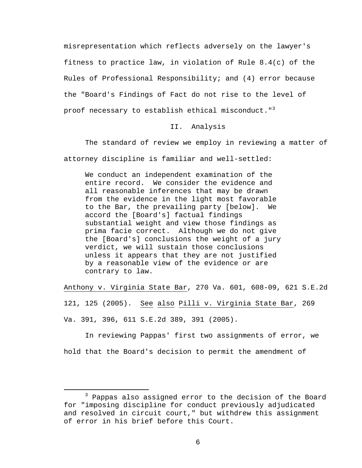misrepresentation which reflects adversely on the lawyer's fitness to practice law, in violation of Rule 8.4(c) of the Rules of Professional Responsibility; and (4) error because the "Board's Findings of Fact do not rise to the level of proof necessary to establish ethical misconduct."<sup>3</sup>

# II. Analysis

 The standard of review we employ in reviewing a matter of attorney discipline is familiar and well-settled:

We conduct an independent examination of the entire record. We consider the evidence and all reasonable inferences that may be drawn from the evidence in the light most favorable to the Bar, the prevailing party [below]. We accord the [Board's] factual findings substantial weight and view those findings as prima facie correct. Although we do not give the [Board's] conclusions the weight of a jury verdict, we will sustain those conclusions unless it appears that they are not justified by a reasonable view of the evidence or are contrary to law.

Anthony v. Virginia State Bar, 270 Va. 601, 608-09, 621 S.E.2d 121, 125 (2005). See also Pilli v. Virginia State Bar, 269 Va. 391, 396, 611 S.E.2d 389, 391 (2005).

 In reviewing Pappas' first two assignments of error, we hold that the Board's decision to permit the amendment of

 $\overline{\phantom{a}}$  3  $3$  Pappas also assigned error to the decision of the Board for "imposing discipline for conduct previously adjudicated and resolved in circuit court," but withdrew this assignment of error in his brief before this Court.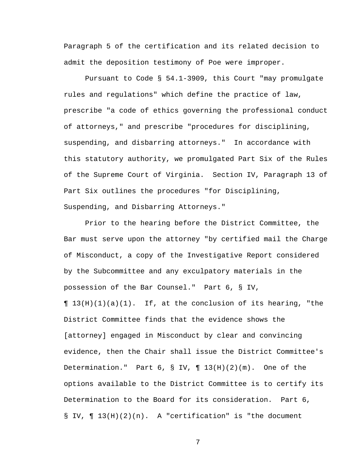Paragraph 5 of the certification and its related decision to admit the deposition testimony of Poe were improper.

Pursuant to Code § 54.1-3909, this Court "may promulgate rules and regulations" which define the practice of law, prescribe "a code of ethics governing the professional conduct of attorneys," and prescribe "procedures for disciplining, suspending, and disbarring attorneys." In accordance with this statutory authority, we promulgated Part Six of the Rules of the Supreme Court of Virginia. Section IV, Paragraph 13 of Part Six outlines the procedures "for Disciplining, Suspending, and Disbarring Attorneys."

 Prior to the hearing before the District Committee, the Bar must serve upon the attorney "by certified mail the Charge of Misconduct, a copy of the Investigative Report considered by the Subcommittee and any exculpatory materials in the possession of the Bar Counsel." Part 6, § IV,  $\P$  13(H)(1)(a)(1). If, at the conclusion of its hearing, "the District Committee finds that the evidence shows the [attorney] engaged in Misconduct by clear and convincing evidence, then the Chair shall issue the District Committee's Determination." Part  $6, S IV, \P 13(H)(2)(m)$ . One of the options available to the District Committee is to certify its Determination to the Board for its consideration. Part 6, § IV, ¶ 13(H)(2)(n). A "certification" is "the document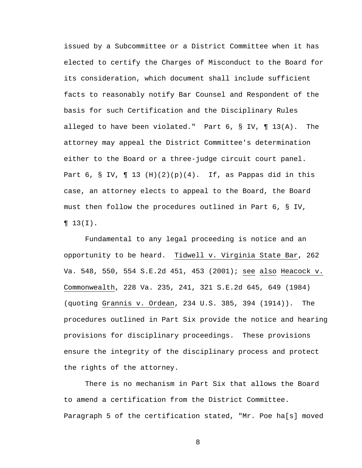issued by a Subcommittee or a District Committee when it has elected to certify the Charges of Misconduct to the Board for its consideration, which document shall include sufficient facts to reasonably notify Bar Counsel and Respondent of the basis for such Certification and the Disciplinary Rules alleged to have been violated." Part 6, § IV, ¶ 13(A). The attorney may appeal the District Committee's determination either to the Board or a three-judge circuit court panel. Part 6, § IV, ¶ 13 (H)(2)(p)(4). If, as Pappas did in this case, an attorney elects to appeal to the Board, the Board must then follow the procedures outlined in Part 6, § IV,  $\P 13(I)$ .

 Fundamental to any legal proceeding is notice and an opportunity to be heard. Tidwell v. Virginia State Bar, 262 Va. 548, 550, 554 S.E.2d 451, 453 (2001); see also Heacock v. Commonwealth, 228 Va. 235, 241, 321 S.E.2d 645, 649 (1984) (quoting Grannis v. Ordean, 234 U.S. 385, 394 (1914)). The procedures outlined in Part Six provide the notice and hearing provisions for disciplinary proceedings. These provisions ensure the integrity of the disciplinary process and protect the rights of the attorney.

There is no mechanism in Part Six that allows the Board to amend a certification from the District Committee. Paragraph 5 of the certification stated, "Mr. Poe ha[s] moved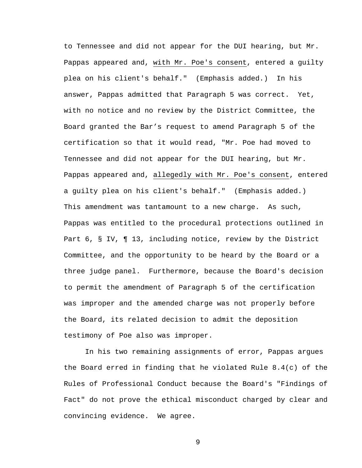to Tennessee and did not appear for the DUI hearing, but Mr. Pappas appeared and, with Mr. Poe's consent, entered a guilty plea on his client's behalf." (Emphasis added.) In his answer, Pappas admitted that Paragraph 5 was correct. Yet, with no notice and no review by the District Committee, the Board granted the Bar's request to amend Paragraph 5 of the certification so that it would read, "Mr. Poe had moved to Tennessee and did not appear for the DUI hearing, but Mr. Pappas appeared and, allegedly with Mr. Poe's consent, entered a guilty plea on his client's behalf." (Emphasis added.) This amendment was tantamount to a new charge. As such, Pappas was entitled to the procedural protections outlined in Part 6, § IV, ¶ 13, including notice, review by the District Committee, and the opportunity to be heard by the Board or a three judge panel. Furthermore, because the Board's decision to permit the amendment of Paragraph 5 of the certification was improper and the amended charge was not properly before the Board, its related decision to admit the deposition testimony of Poe also was improper.

 In his two remaining assignments of error, Pappas argues the Board erred in finding that he violated Rule 8.4(c) of the Rules of Professional Conduct because the Board's "Findings of Fact" do not prove the ethical misconduct charged by clear and convincing evidence. We agree.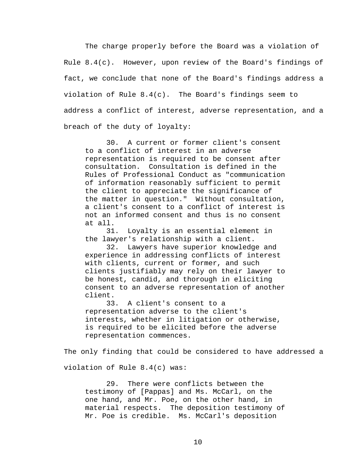The charge properly before the Board was a violation of Rule  $8.4(c)$ . However, upon review of the Board's findings of fact, we conclude that none of the Board's findings address a violation of Rule 8.4(c). The Board's findings seem to address a conflict of interest, adverse representation, and a breach of the duty of loyalty:

 30. A current or former client's consent to a conflict of interest in an adverse representation is required to be consent after consultation. Consultation is defined in the Rules of Professional Conduct as "communication of information reasonably sufficient to permit the client to appreciate the significance of the matter in question." Without consultation, a client's consent to a conflict of interest is not an informed consent and thus is no consent at all.

 31. Loyalty is an essential element in the lawyer's relationship with a client.

 32. Lawyers have superior knowledge and experience in addressing conflicts of interest with clients, current or former, and such clients justifiably may rely on their lawyer to be honest, candid, and thorough in eliciting consent to an adverse representation of another client.

 33. A client's consent to a representation adverse to the client's interests, whether in litigation or otherwise, is required to be elicited before the adverse representation commences.

The only finding that could be considered to have addressed a

violation of Rule 8.4(c) was:

29. There were conflicts between the testimony of [Pappas] and Ms. McCarl, on the one hand, and Mr. Poe, on the other hand, in material respects. The deposition testimony of Mr. Poe is credible. Ms. McCarl's deposition